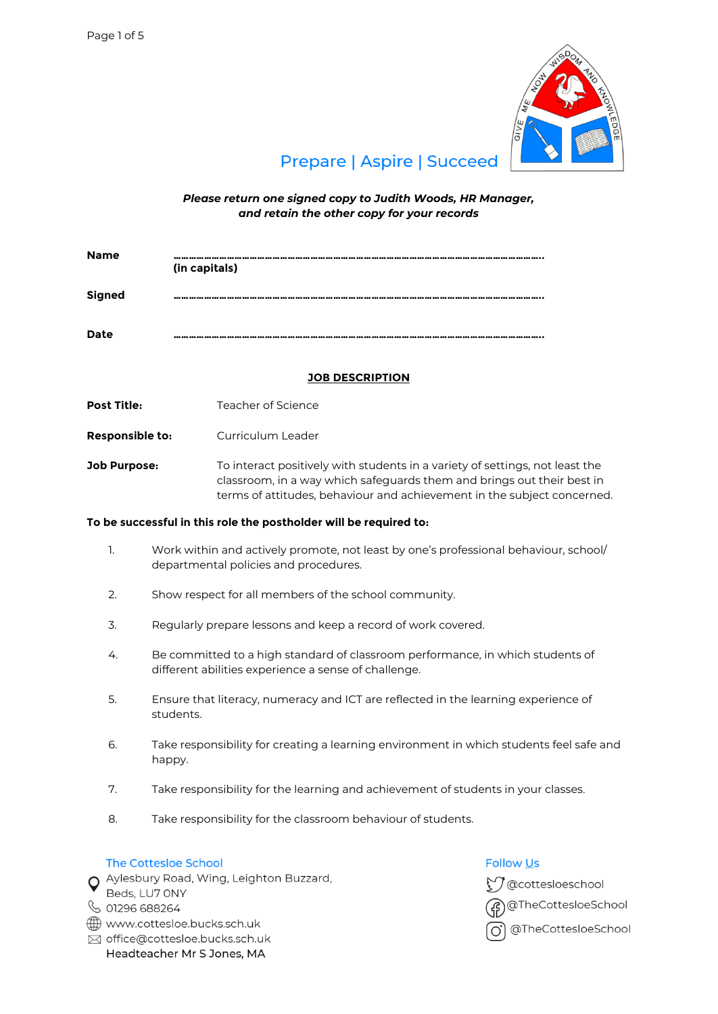

# **Prepare | Aspire | Succeed**

*Please return one signed copy to Judith Woods, HR Manager, and retain the other copy for your records*

| <b>Name</b>   | -----------------------------------<br>(in capitals) |
|---------------|------------------------------------------------------|
| <b>Signed</b> | ---------------                                      |
| <b>Date</b>   | *************************                            |

# **JOB DESCRIPTION**

**Post Title:** Teacher of Science

**Responsible to:** Curriculum Leader

**Job Purpose:** To interact positively with students in a variety of settings, not least the classroom, in a way which safeguards them and brings out their best in terms of attitudes, behaviour and achievement in the subject concerned.

# **To be successful in this role the postholder will be required to:**

- 1. Work within and actively promote, not least by one's professional behaviour, school/ departmental policies and procedures.
- 2. Show respect for all members of the school community.
- 3. Regularly prepare lessons and keep a record of work covered.
- 4. Be committed to a high standard of classroom performance, in which students of different abilities experience a sense of challenge.
- 5. Ensure that literacy, numeracy and ICT are reflected in the learning experience of students.
- 6. Take responsibility for creating a learning environment in which students feel safe and happy.
- 7. Take responsibility for the learning and achievement of students in your classes.
- 8. Take responsibility for the classroom behaviour of students.

## The Cottesloe School

O Aylesbury Road, Wing, Leighton Buzzard,

- Beds, LU7 ONY
- ↓ 01296 688264
- www.cottesloe.bucks.sch.uk
- ⊠ office@cottesloe.bucks.sch.uk Headteacher Mr S Jones, MA

# **Follow Us**

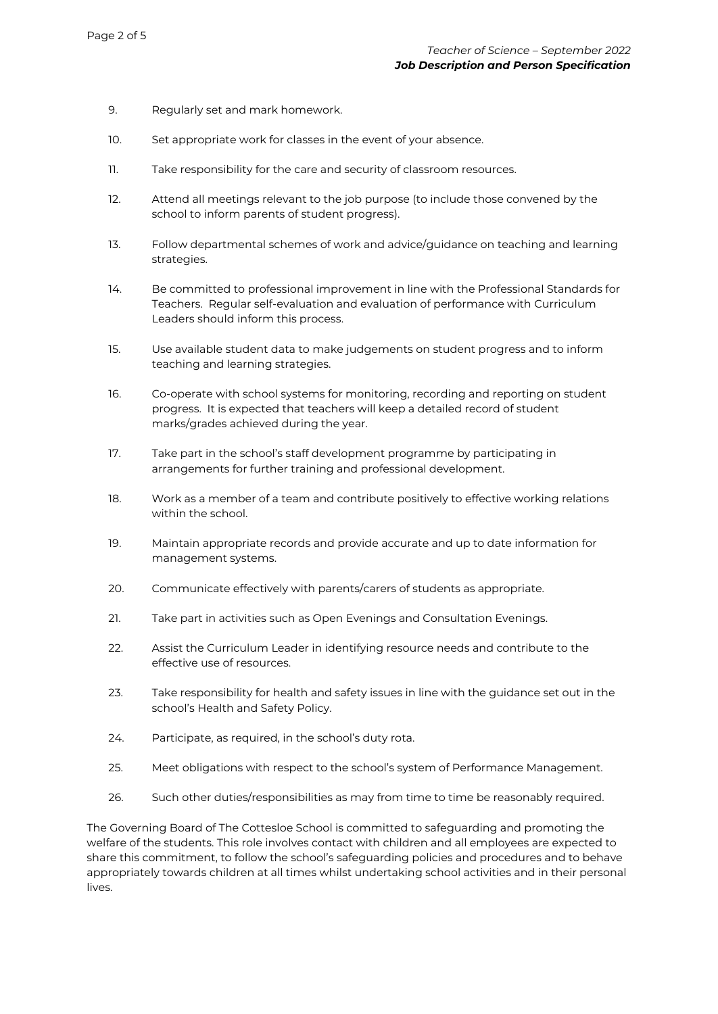- 9. Regularly set and mark homework.
- 10. Set appropriate work for classes in the event of your absence.
- 11. Take responsibility for the care and security of classroom resources.
- 12. Attend all meetings relevant to the job purpose (to include those convened by the school to inform parents of student progress).
- 13. Follow departmental schemes of work and advice/guidance on teaching and learning strategies.
- 14. Be committed to professional improvement in line with the Professional Standards for Teachers. Regular self-evaluation and evaluation of performance with Curriculum Leaders should inform this process.
- 15. Use available student data to make judgements on student progress and to inform teaching and learning strategies.
- 16. Co-operate with school systems for monitoring, recording and reporting on student progress. It is expected that teachers will keep a detailed record of student marks/grades achieved during the year.
- 17. Take part in the school's staff development programme by participating in arrangements for further training and professional development.
- 18. Work as a member of a team and contribute positively to effective working relations within the school.
- 19. Maintain appropriate records and provide accurate and up to date information for management systems.
- 20. Communicate effectively with parents/carers of students as appropriate.
- 21. Take part in activities such as Open Evenings and Consultation Evenings.
- 22. Assist the Curriculum Leader in identifying resource needs and contribute to the effective use of resources.
- 23. Take responsibility for health and safety issues in line with the guidance set out in the school's Health and Safety Policy.
- 24. Participate, as required, in the school's duty rota.
- 25. Meet obligations with respect to the school's system of Performance Management.
- 26. Such other duties/responsibilities as may from time to time be reasonably required.

The Governing Board of The Cottesloe School is committed to safeguarding and promoting the welfare of the students. This role involves contact with children and all employees are expected to share this commitment, to follow the school's safeguarding policies and procedures and to behave appropriately towards children at all times whilst undertaking school activities and in their personal lives.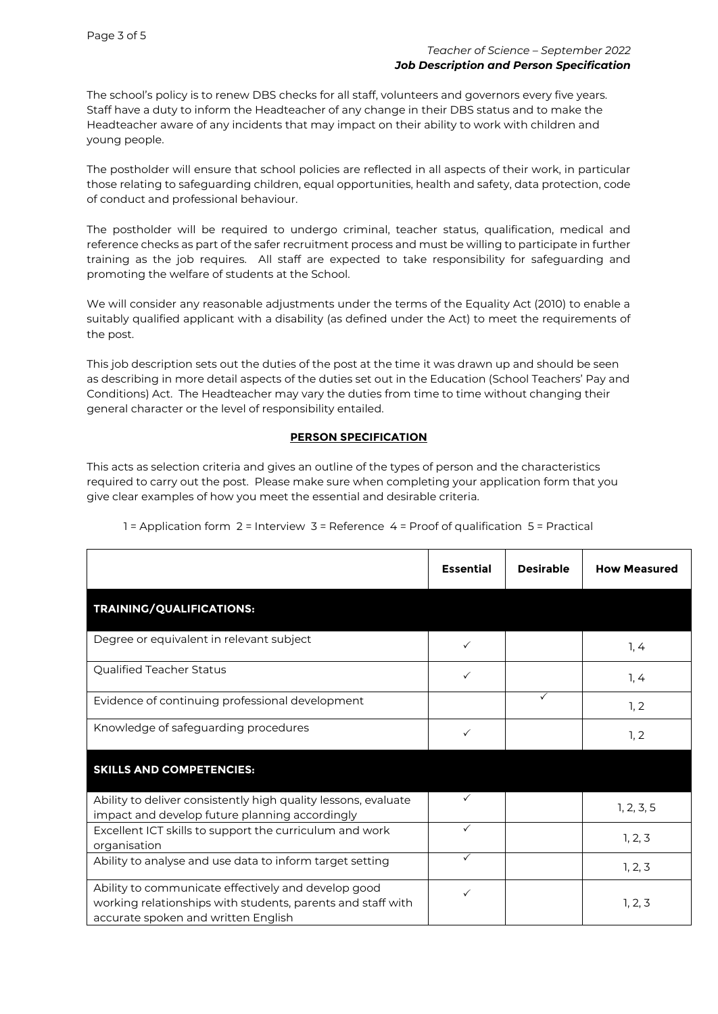The school's policy is to renew DBS checks for all staff, volunteers and governors every five years. Staff have a duty to inform the Headteacher of any change in their DBS status and to make the Headteacher aware of any incidents that may impact on their ability to work with children and young people.

The postholder will ensure that school policies are reflected in all aspects of their work, in particular those relating to safeguarding children, equal opportunities, health and safety, data protection, code of conduct and professional behaviour.

The postholder will be required to undergo criminal, teacher status, qualification, medical and reference checks as part of the safer recruitment process and must be willing to participate in further training as the job requires. All staff are expected to take responsibility for safeguarding and promoting the welfare of students at the School.

We will consider any reasonable adjustments under the terms of the Equality Act (2010) to enable a suitably qualified applicant with a disability (as defined under the Act) to meet the requirements of the post.

This job description sets out the duties of the post at the time it was drawn up and should be seen as describing in more detail aspects of the duties set out in the Education (School Teachers' Pay and Conditions) Act. The Headteacher may vary the duties from time to time without changing their general character or the level of responsibility entailed.

## **PERSON SPECIFICATION**

This acts as selection criteria and gives an outline of the types of person and the characteristics required to carry out the post. Please make sure when completing your application form that you give clear examples of how you meet the essential and desirable criteria.

|                                                                                                                                                           | <b>Essential</b> | <b>Desirable</b> | <b>How Measured</b> |
|-----------------------------------------------------------------------------------------------------------------------------------------------------------|------------------|------------------|---------------------|
| <b>TRAINING/QUALIFICATIONS:</b>                                                                                                                           |                  |                  |                     |
| Degree or equivalent in relevant subject                                                                                                                  | ✓                |                  | 1, 4                |
| Qualified Teacher Status                                                                                                                                  | $\checkmark$     |                  | 1, 4                |
| Evidence of continuing professional development                                                                                                           |                  | $\checkmark$     | 1, 2                |
| Knowledge of safeguarding procedures                                                                                                                      | ✓                |                  | 1, 2                |
| <b>SKILLS AND COMPETENCIES:</b>                                                                                                                           |                  |                  |                     |
| Ability to deliver consistently high quality lessons, evaluate<br>impact and develop future planning accordingly                                          |                  |                  | 1, 2, 3, 5          |
| Excellent ICT skills to support the curriculum and work<br>organisation                                                                                   | $\checkmark$     |                  | 1, 2, 3             |
| Ability to analyse and use data to inform target setting                                                                                                  | $\checkmark$     |                  | 1, 2, 3             |
| Ability to communicate effectively and develop good<br>working relationships with students, parents and staff with<br>accurate spoken and written English | ✓                |                  | 1, 2, 3             |

1 = Application form 2 = Interview 3 = Reference 4 = Proof of qualification 5 = Practical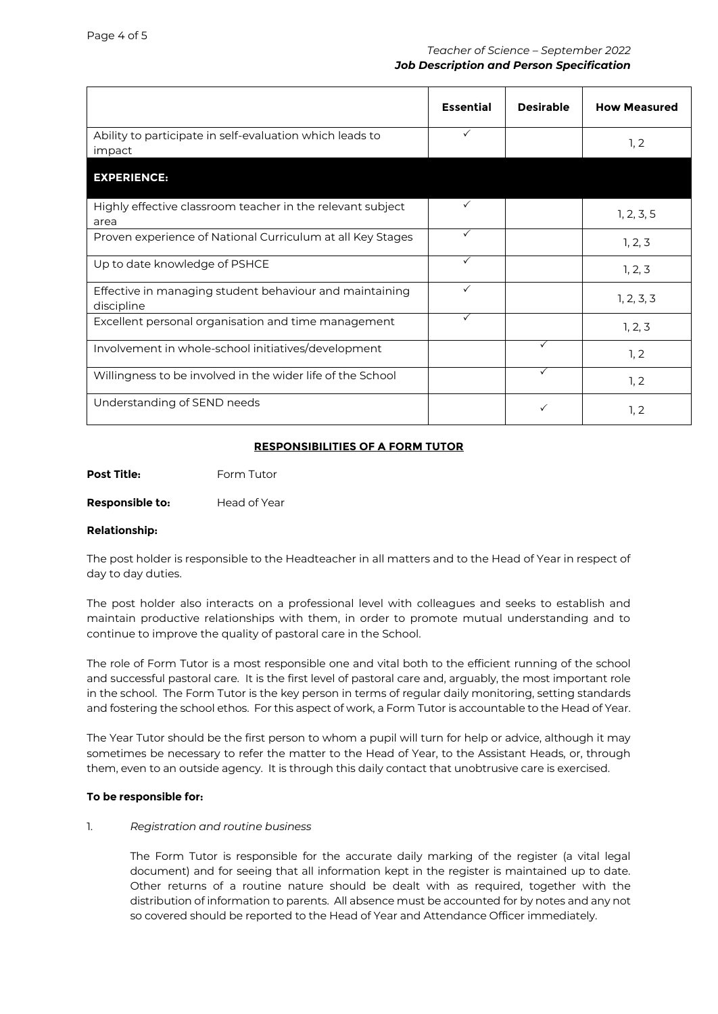|                                                                       | <b>Essential</b> | <b>Desirable</b> | <b>How Measured</b> |
|-----------------------------------------------------------------------|------------------|------------------|---------------------|
| Ability to participate in self-evaluation which leads to<br>impact    | $\checkmark$     |                  | 1, 2                |
| <b>EXPERIENCE:</b>                                                    |                  |                  |                     |
| Highly effective classroom teacher in the relevant subject<br>area    | $\checkmark$     |                  | 1, 2, 3, 5          |
| Proven experience of National Curriculum at all Key Stages            | $\checkmark$     |                  | 1, 2, 3             |
| Up to date knowledge of PSHCE                                         | $\checkmark$     |                  | 1, 2, 3             |
| Effective in managing student behaviour and maintaining<br>discipline | $\checkmark$     |                  | 1, 2, 3, 3          |
| Excellent personal organisation and time management                   | $\checkmark$     |                  | 1, 2, 3             |
| Involvement in whole-school initiatives/development                   |                  | $\checkmark$     | 1, 2                |
| Willingness to be involved in the wider life of the School            |                  | $\checkmark$     | 1, 2                |
| Understanding of SEND needs                                           |                  | ✓                | 1, 2                |

# **RESPONSIBILITIES OF A FORM TUTOR**

**Post Title:** Form Tutor

**Responsible to:** Head of Year

## **Relationship:**

The post holder is responsible to the Headteacher in all matters and to the Head of Year in respect of day to day duties.

The post holder also interacts on a professional level with colleagues and seeks to establish and maintain productive relationships with them, in order to promote mutual understanding and to continue to improve the quality of pastoral care in the School.

The role of Form Tutor is a most responsible one and vital both to the efficient running of the school and successful pastoral care. It is the first level of pastoral care and, arguably, the most important role in the school. The Form Tutor is the key person in terms of regular daily monitoring, setting standards and fostering the school ethos. For this aspect of work, a Form Tutor is accountable to the Head of Year.

The Year Tutor should be the first person to whom a pupil will turn for help or advice, although it may sometimes be necessary to refer the matter to the Head of Year, to the Assistant Heads, or, through them, even to an outside agency. It is through this daily contact that unobtrusive care is exercised.

## **To be responsible for:**

## 1. *Registration and routine business*

The Form Tutor is responsible for the accurate daily marking of the register (a vital legal document) and for seeing that all information kept in the register is maintained up to date. Other returns of a routine nature should be dealt with as required, together with the distribution of information to parents. All absence must be accounted for by notes and any not so covered should be reported to the Head of Year and Attendance Officer immediately.